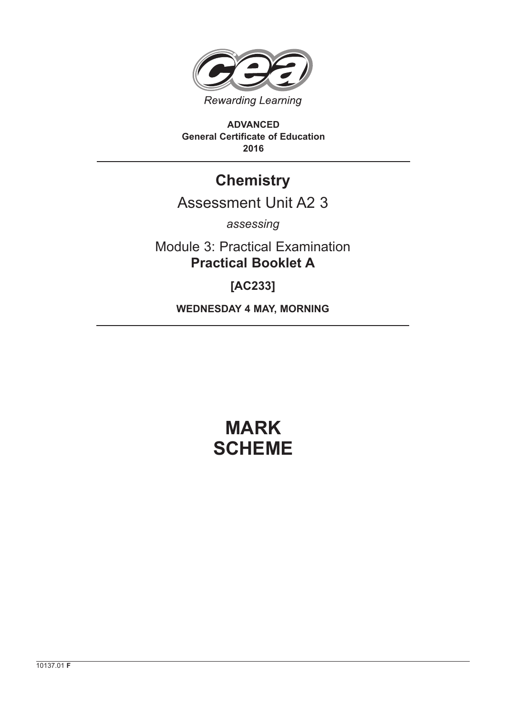

**ADVANCED General Certificate of Education 2016**

# **Chemistry**

# Assessment Unit A2 3

*assessing*

Module 3: Practical Examination **Practical Booklet A**

**[AC233]**

**WEDNESDAY 4 MAY, MORNING**

# **MARK SCHEME**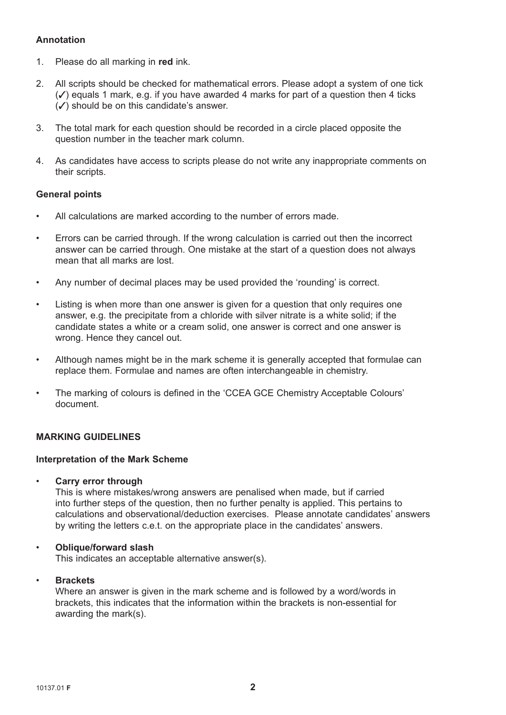# **Annotation**

- 1. Please do all marking in **red** ink.
- 2. All scripts should be checked for mathematical errors. Please adopt a system of one tick  $(\checkmark)$  equals 1 mark, e.g. if you have awarded 4 marks for part of a question then 4 ticks  $(\checkmark)$  should be on this candidate's answer.
- 3. The total mark for each question should be recorded in a circle placed opposite the question number in the teacher mark column.
- 4. As candidates have access to scripts please do not write any inappropriate comments on their scripts.

## **General points**

- All calculations are marked according to the number of errors made.
- Errors can be carried through. If the wrong calculation is carried out then the incorrect answer can be carried through. One mistake at the start of a question does not always mean that all marks are lost.
- Any number of decimal places may be used provided the 'rounding' is correct.
- Listing is when more than one answer is given for a question that only requires one answer, e.g. the precipitate from a chloride with silver nitrate is a white solid; if the candidate states a white or a cream solid, one answer is correct and one answer is wrong. Hence they cancel out.
- Although names might be in the mark scheme it is generally accepted that formulae can replace them. Formulae and names are often interchangeable in chemistry.
- The marking of colours is defined in the 'CCEA GCE Chemistry Acceptable Colours' document.

## **MARKING GUIDELINES**

#### **Interpretation of the Mark Scheme**

• **Carry error through**

 This is where mistakes/wrong answers are penalised when made, but if carried into further steps of the question, then no further penalty is applied. This pertains to calculations and observational/deduction exercises. Please annotate candidates' answers by writing the letters c.e.t. on the appropriate place in the candidates' answers.

#### • **Oblique/forward slash**

This indicates an acceptable alternative answer(s).

#### • **Brackets**

 Where an answer is given in the mark scheme and is followed by a word/words in brackets, this indicates that the information within the brackets is non-essential for awarding the mark(s).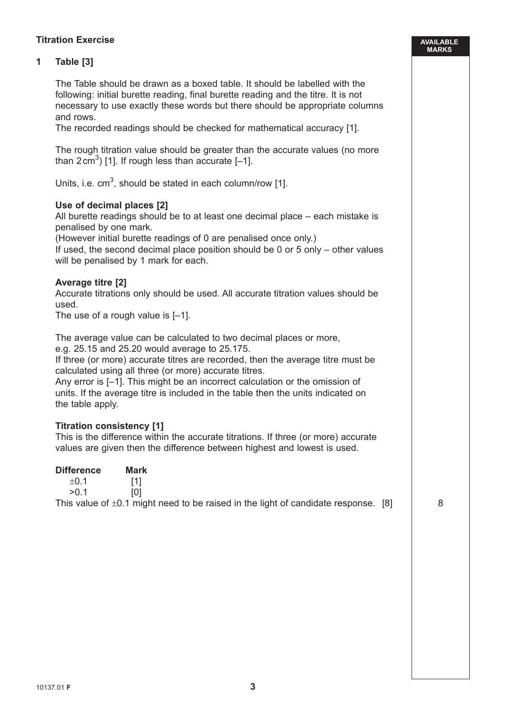# **Titration Exercise**

# **1 Table [3]**

 The Table should be drawn as a boxed table. It should be labelled with the following: initial burette reading, final burette reading and the titre. It is not necessary to use exactly these words but there should be appropriate columns and rows.

The recorded readings should be checked for mathematical accuracy [1].

 The rough titration value should be greater than the accurate values (no more than  $2 \text{ cm}^3$ ) [1]. If rough less than accurate [-1].

Units, i.e.  $cm<sup>3</sup>$ , should be stated in each column/row [1].

#### **Use of decimal places [2]**

 All burette readings should be to at least one decimal place – each mistake is penalised by one mark.

(However initial burette readings of 0 are penalised once only.)

 If used, the second decimal place position should be 0 or 5 only – other values will be penalised by 1 mark for each.

#### **Average titre [2]**

 Accurate titrations only should be used. All accurate titration values should be used.

The use of a rough value is [–1].

The average value can be calculated to two decimal places or more,

e.g. 25.15 and 25.20 would average to 25.175.

 If three (or more) accurate titres are recorded, then the average titre must be calculated using all three (or more) accurate titres.

 Any error is [–1]. This might be an incorrect calculation or the omission of units. If the average titre is included in the table then the units indicated on the table apply.

#### **Titration consistency [1]**

 This is the difference within the accurate titrations. If three (or more) accurate values are given then the difference between highest and lowest is used.

| <b>Difference</b> | Mark                                                                                    |  |
|-------------------|-----------------------------------------------------------------------------------------|--|
| $\pm 0.1$         |                                                                                         |  |
| >0.1              |                                                                                         |  |
|                   | This value of $\pm 0.1$ might need to be raised in the light of candidate response. [8] |  |

**AVAILABLE MARKS**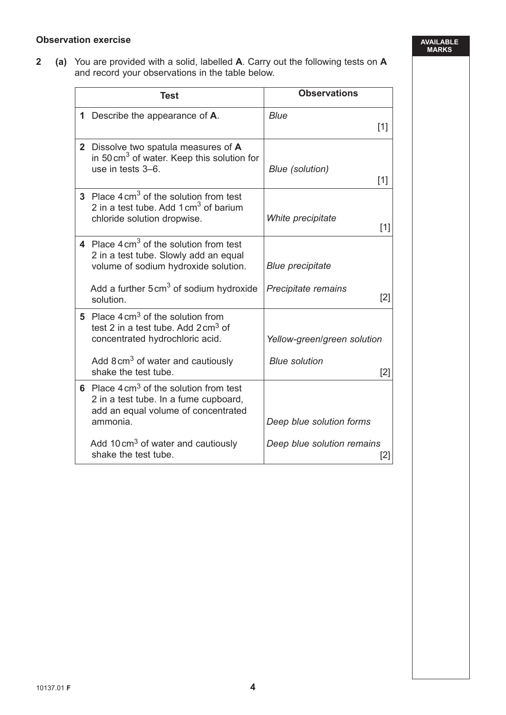### **Observation exercise**

**2 (a)** You are provided with a solid, labelled **A**. Carry out the following tests on **A** and record your observations in the table below.

| <b>Test</b>                                                                                                                                    | <b>Observations</b>               |
|------------------------------------------------------------------------------------------------------------------------------------------------|-----------------------------------|
| 1 Describe the appearance of A.                                                                                                                | Blue<br>$[1]$                     |
| 2 Dissolve two spatula measures of A<br>in 50 cm <sup>3</sup> of water. Keep this solution for<br>use in tests 3-6.                            | <b>Blue (solution)</b><br>$[1]$   |
| 3 Place $4 \text{ cm}^3$ of the solution from test<br>2 in a test tube. Add $1 \text{ cm}^3$ of barium<br>chloride solution dropwise.          | White precipitate<br>$[1]$        |
| 4 Place $4 \text{ cm}^3$ of the solution from test<br>2 in a test tube. Slowly add an equal<br>volume of sodium hydroxide solution.            | <b>Blue precipitate</b>           |
| Add a further $5 \text{ cm}^3$ of sodium hydroxide<br>solution.                                                                                | Precipitate remains<br>$[2]$      |
| 5 Place $4 \text{ cm}^3$ of the solution from<br>test 2 in a test tube. Add $2 \text{ cm}^3$ of<br>concentrated hydrochloric acid.             | Yellow-green/green solution       |
| Add 8 cm <sup>3</sup> of water and cautiously<br>shake the test tube.                                                                          | <b>Blue solution</b><br>$[2]$     |
| 6 Place $4 \text{ cm}^3$ of the solution from test<br>2 in a test tube. In a fume cupboard,<br>add an equal volume of concentrated<br>ammonia. | Deep blue solution forms          |
| Add 10 cm <sup>3</sup> of water and cautiously<br>shake the test tube.                                                                         | Deep blue solution remains<br>[2] |